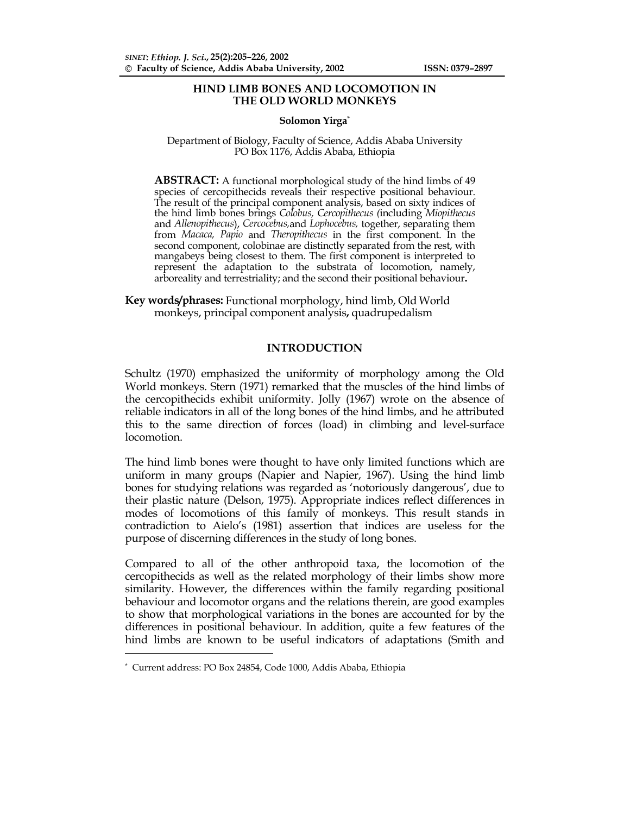## **HIND LIMB BONES AND LOCOMOTION IN THE OLD WORLD MONKEYS**

#### **Solomon Yirg[a\\*](#page-0-0)**

Department of Biology, Faculty of Science, Addis Ababa University PO Box 1176, Addis Ababa, Ethiopia

**ABSTRACT:** A functional morphological study of the hind limbs of 49 species of cercopithecids reveals their respective positional behaviour. The result of the principal component analysis, based on sixty indices of the hind limb bones brings *Colobus, Cercopithecus (*including *Miopithecus*  and *Allenopithecus*), *Cercocebus,*and *Lophocebus,* together, separating them from *Macaca, Papio* and *Theropithecus* in the first component. In the second component, colobinae are distinctly separated from the rest, with mangabeys being closest to them. The first component is interpreted to represent the adaptation to the substrata of locomotion, namely, arboreality and terrestriality; and the second their positional behaviour**.**

**Key words/phrases:** Functional morphology, hind limb, Old World monkeys, principal component analysis**,** quadrupedalism

## **INTRODUCTION**

Schultz (1970) emphasized the uniformity of morphology among the Old World monkeys. Stern (1971) remarked that the muscles of the hind limbs of the cercopithecids exhibit uniformity. Jolly (1967) wrote on the absence of reliable indicators in all of the long bones of the hind limbs, and he attributed this to the same direction of forces (load) in climbing and level-surface locomotion.

The hind limb bones were thought to have only limited functions which are uniform in many groups (Napier and Napier, 1967). Using the hind limb bones for studying relations was regarded as 'notoriously dangerous', due to their plastic nature (Delson, 1975). Appropriate indices reflect differences in modes of locomotions of this family of monkeys. This result stands in contradiction to Aielo's (1981) assertion that indices are useless for the purpose of discerning differences in the study of long bones.

Compared to all of the other anthropoid taxa, the locomotion of the cercopithecids as well as the related morphology of their limbs show more similarity. However, the differences within the family regarding positional behaviour and locomotor organs and the relations therein, are good examples to show that morphological variations in the bones are accounted for by the differences in positional behaviour. In addition, quite a few features of the hind limbs are known to be useful indicators of adaptations (Smith and

i<br>I

<span id="page-0-0"></span><sup>\*</sup> Current address: PO Box 24854, Code 1000, Addis Ababa, Ethiopia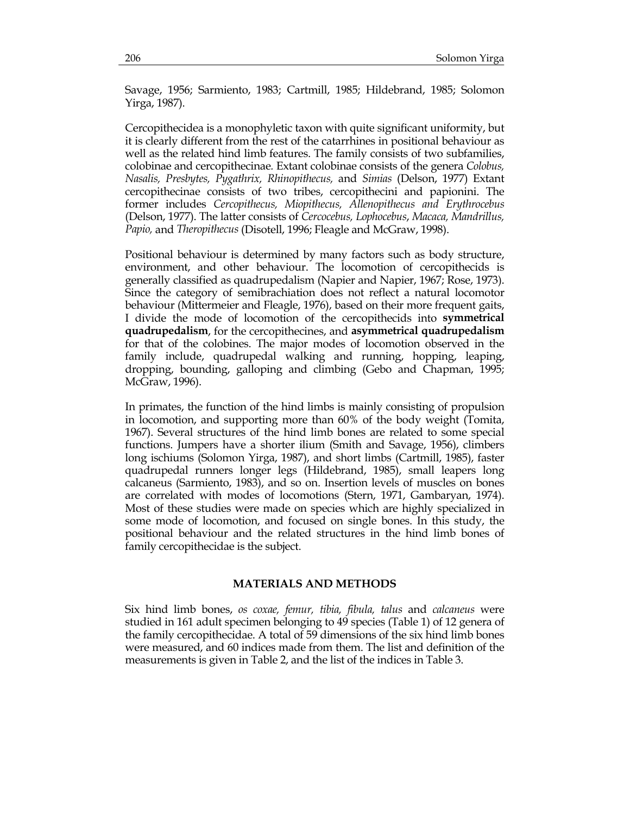Savage, 1956; Sarmiento, 1983; Cartmill, 1985; Hildebrand, 1985; Solomon Yirga, 1987).

Cercopithecidea is a monophyletic taxon with quite significant uniformity, but it is clearly different from the rest of the catarrhines in positional behaviour as well as the related hind limb features. The family consists of two subfamilies, colobinae and cercopithecinae*.* Extant colobinae consists of the genera *Colobus, Nasalis, Presbytes, Pygathrix, Rhinopithecus,* and *Simias* (Delson, 1977) Extant cercopithecinae consists of two tribes, cercopithecini and papionini. The former includes *Cercopithecus, Miopithecus, Allenopithecus and Erythrocebus*  (Delson, 1977). The latter consists of *Cercocebus, Lophocebus*, *Macaca, Mandrillus, Papio,* and *Theropithecus* (Disotell, 1996; Fleagle and McGraw, 1998).

Positional behaviour is determined by many factors such as body structure, environment, and other behaviour. The locomotion of cercopithecids is generally classified as quadrupedalism (Napier and Napier, 1967; Rose, 1973). Since the category of semibrachiation does not reflect a natural locomotor behaviour (Mittermeier and Fleagle, 1976), based on their more frequent gaits, I divide the mode of locomotion of the cercopithecids into **symmetrical quadrupedalism**, for the cercopithecines, and **asymmetrical quadrupedalism** for that of the colobines. The major modes of locomotion observed in the family include, quadrupedal walking and running, hopping, leaping, dropping, bounding, galloping and climbing (Gebo and Chapman, 1995; McGraw, 1996).

In primates, the function of the hind limbs is mainly consisting of propulsion in locomotion, and supporting more than 60% of the body weight (Tomita, 1967). Several structures of the hind limb bones are related to some special functions. Jumpers have a shorter ilium (Smith and Savage, 1956), climbers long ischiums (Solomon Yirga, 1987), and short limbs (Cartmill, 1985), faster quadrupedal runners longer legs (Hildebrand, 1985), small leapers long calcaneus (Sarmiento, 1983), and so on. Insertion levels of muscles on bones are correlated with modes of locomotions (Stern, 1971, Gambaryan, 1974). Most of these studies were made on species which are highly specialized in some mode of locomotion, and focused on single bones. In this study, the positional behaviour and the related structures in the hind limb bones of family cercopithecidae is the subject.

## **MATERIALS AND METHODS**

Six hind limb bones, *os coxae, femur, tibia, fibula, talus* and *calcaneus* were studied in 161 adult specimen belonging to 49 species (Table 1) of 12 genera of the family cercopithecidae. A total of 59 dimensions of the six hind limb bones were measured, and 60 indices made from them. The list and definition of the measurements is given in Table 2, and the list of the indices in Table 3.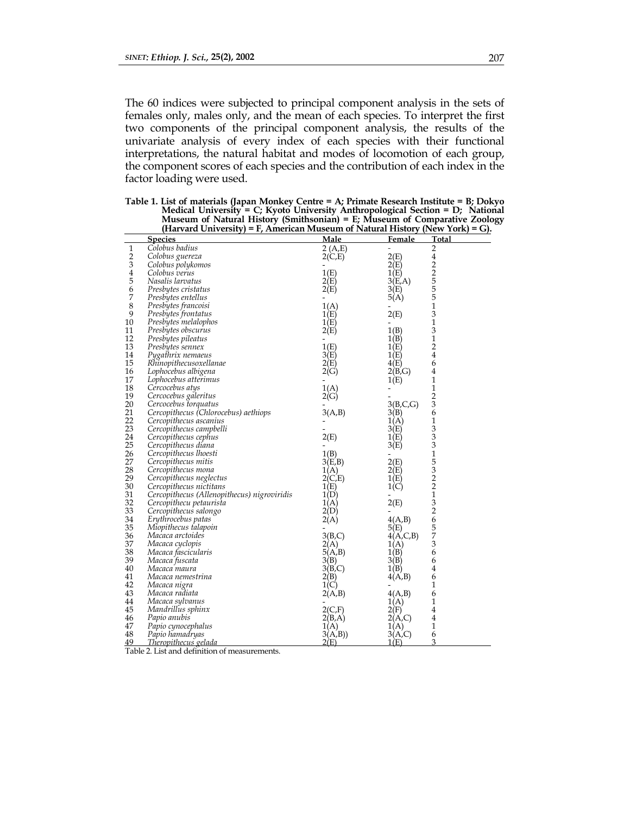The 60 indices were subjected to principal component analysis in the sets of females only, males only, and the mean of each species. To interpret the first two components of the principal component analysis, the results of the univariate analysis of every index of each species with their functional interpretations, the natural habitat and modes of locomotion of each group, the component scores of each species and the contribution of each index in the factor loading were used.

| Table 1. List of materials (Japan Monkey Centre = A; Primate Research Institute = B; Dokyo |
|--------------------------------------------------------------------------------------------|
| Medical University = C; Kyoto University Anthropological Section = D; National             |
| Museum of Natural History (Smithsonian) = E; Museum of Comparative Zoology                 |
| (Harvard University) = F, American Museum of Natural History (New York) = G).              |

|                                                 | $(1.00 \text{ m/s})$                        | 1, micheum muscum of Futurui Mistory | $\mu$                             |  |
|-------------------------------------------------|---------------------------------------------|--------------------------------------|-----------------------------------|--|
|                                                 | <b>Species</b>                              | Male                                 | Total<br><b>Female</b>            |  |
| $1\,$                                           | Colobus badius                              | 2(A,E)                               | $\overline{\phantom{0}}$          |  |
|                                                 | Colobus guereza                             | 2(C,E)                               | $_4^2$<br>2(E)                    |  |
|                                                 | Colobus polykomos                           |                                      | 2(E)                              |  |
|                                                 | Colobus verus                               | 1(E)                                 | 1(E)                              |  |
| $\begin{array}{c} 2 \\ 3 \\ 4 \\ 5 \end{array}$ | Nasalis larvatus                            | 2(E)                                 | 22555<br>3(E,A)                   |  |
| 6                                               | Presbytes cristatus                         | 2(E)                                 | 3(E)                              |  |
| $\overline{7}$                                  | Presbytes entellus                          |                                      | 5(A)                              |  |
| $\,$ 8 $\,$                                     | Presbytes francoisi                         | 1(A)                                 | $\mathbf{1}$                      |  |
| 9                                               | Presbytes frontatus                         | 1(E)                                 | 3<br>2(E)                         |  |
| 10                                              | Presbytes melalophos                        | 1(E)                                 | $\mathbf{1}$<br>-                 |  |
| 11                                              |                                             |                                      | 3                                 |  |
| 12                                              | Presbytes obscurus                          | 2(E)                                 | 1(B)<br>$\mathbf{1}$              |  |
|                                                 | Presbytes pileatus                          |                                      | 1(B)                              |  |
| 13                                              | Presbytes sennex                            | 1(E)                                 | $\overline{\mathbf{c}}$<br>1(E)   |  |
| 14                                              | Pygathrix nemaeus                           | 3(E)                                 | $\overline{\mathbf{4}}$<br>1(E)   |  |
| 15                                              | Rhinopithecusoxellanae                      | 2(E)                                 | 6<br>4(E)                         |  |
| 16                                              | Lophocebus albigena                         | 2(G)                                 | 2(B,G)<br>$\overline{4}$          |  |
| 17                                              | Lophocebus atterimus                        |                                      | $\mathbf 1$<br>1(E)               |  |
| 18                                              | Cercocebus atus                             | 1(A)                                 | $\overline{1}$                    |  |
| 19                                              | Cercocebus galeritus                        | 2(G)                                 | $\overline{c}$                    |  |
| 20                                              | Cercocebus torquatus                        |                                      | 3<br>3(B,C,G)                     |  |
| 21                                              | Cercopithecus (Chlorocebus) aethiops        | 3(A,B)                               | 6<br>3(B)                         |  |
| 22                                              | Cercopithecus ascanius                      |                                      | $\mathbf 1$<br>1(A)               |  |
| 23                                              | Cercopithecus campbelli                     |                                      | 3(E)                              |  |
| 24                                              | Cercopithecus cephus                        | 2(E)                                 | $\frac{3}{3}$<br>1(E)             |  |
| 25                                              | Cercopithecus diana                         |                                      | 3(E)                              |  |
| 26                                              | Cercopithecus lhoesti                       | 1(B)                                 | 3153221                           |  |
| 27                                              | Cercopithecus mitis                         | 3(E,B)                               | 2(E)                              |  |
| 28                                              | Cercopithecus mona                          | 1(A)                                 | 2(E)                              |  |
| 29                                              | Cercopithecus neglectus                     | 2(C,E)                               | 1(E)                              |  |
| 30                                              | Cercopithecus nictitans                     | 1(E)                                 | 1(C)                              |  |
| 31                                              | Cercopithecus (Allenopithecus) nigroviridis | 1(D)                                 | $\overline{\phantom{0}}$          |  |
| 32                                              | Cercopithecu petaurista                     | 1(A)                                 | 3<br>2(E)                         |  |
| 33                                              | Cercopithecus salongo                       | 2(D)                                 |                                   |  |
| 34                                              | Erythrocebus patas                          | 2(A)                                 | 4(A,B)                            |  |
| 35                                              | Miopithecus talapoin                        |                                      | 5(E)                              |  |
| 36                                              | Macaca arctoides                            | 3(B,C)                               | 265<br>57                         |  |
| 37                                              |                                             |                                      | 4(A,C,B)<br>3                     |  |
|                                                 | Macaca cyclopis                             | 2(A)                                 | 1(A)                              |  |
| 38                                              | Macaca fascicularis                         | 5(A,B)                               | 6<br>1(B)                         |  |
| 39                                              | Macaca fuscata                              | 3(B)                                 | 6<br>3(B)                         |  |
| 40                                              | Macaca maura                                | 3(B,C)                               | 1(B)<br>4                         |  |
| 41                                              | Macaca nemestrina                           | 2(B)                                 | 6<br>4(A,B)                       |  |
| 42                                              | Macaca nigra                                | 1(C)                                 | 1                                 |  |
| 43                                              | Macaca radiata                              | 2(A,B)                               | 6<br>4(A,B)                       |  |
| 44                                              | Macaca sylvanus                             |                                      | $\mathbf{1}$<br>1(A)              |  |
| 45                                              | Mandrillus sphinx                           | 2(C,F)                               | $\overline{4}$<br>2(F)            |  |
| 46                                              | Papio anubis                                | 2(B,A)                               | $\overline{\mathbf{4}}$<br>2(A,C) |  |
| 47                                              | Papio cynocephalus                          | 1(A)                                 | $\mathbf{1}$<br>1(A)              |  |
| 48                                              | Papio hamadryas                             | 3(A,B)                               | 6<br>3(A,C)                       |  |
| 49                                              | Theropithecus gelada                        | 2(E)                                 | 3<br>1(E)                         |  |

Table 2. List and definition of measurements.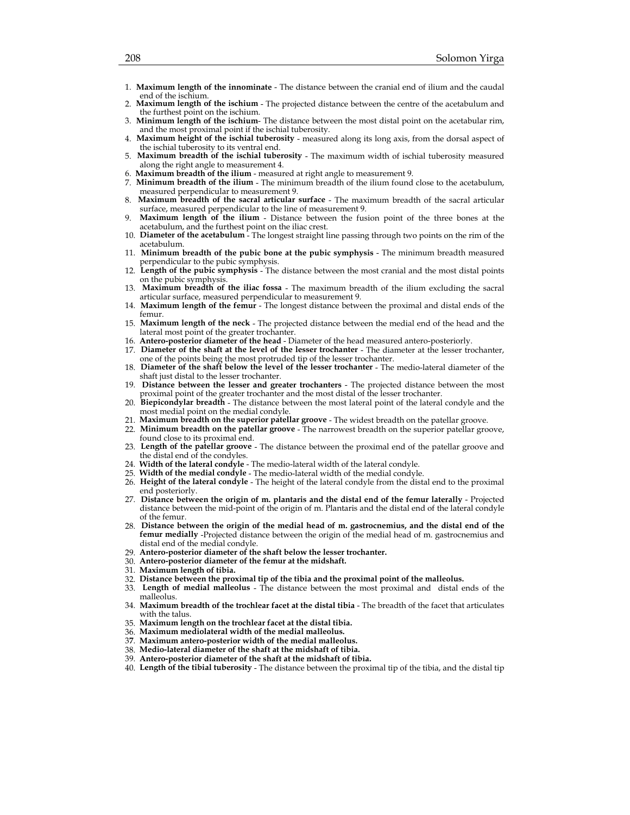- 1. **Maximum length of the innominate** The distance between the cranial end of ilium and the caudal end of the ischium.
- 2. **Maximum length of the ischium**  The projected distance between the centre of the acetabulum and the furthest point on the ischium.
- 3. **Minimum length of the ischium** The distance between the most distal point on the acetabular rim, and the most proximal point if the ischial tuberosity.
- 4. **Maximum height of the ischial tuberosity** measured along its long axis, from the dorsal aspect of the ischial tuberosity to its ventral end.
- 5. **Maximum breadth of the ischial tuberosity** The maximum width of ischial tuberosity measured along the right angle to measurement 4.
- 6. **Maximum breadth of the ilium**  measured at right angle to measurement 9.
- 7. **Minimum breadth of the ilium**  The minimum breadth of the ilium found close to the acetabulum, measured perpendicular to measurement 9.
- 8. **Maximum breadth of the sacral articular surface**  The maximum breadth of the sacral articular surface, measured perpendicular to the line of measurement 9.
- 9. **Maximum length of the ilium**  Distance between the fusion point of the three bones at the acetabulum, and the furthest point on the iliac crest.
- 10. **Diameter of the acetabulum**  The longest straight line passing through two points on the rim of the acetabulum.
- 11. **Minimum breadth of the pubic bone at the pubic symphysis**  The minimum breadth measured perpendicular to the pubic symphysis.
- 12. **Length of the pubic symphysis**  The distance between the most cranial and the most distal points on the pubic symphysis.
- 13. **Maximum breadth of the iliac fossa**  The maximum breadth of the ilium excluding the sacral articular surface, measured perpendicular to measurement 9.
- 14. **Maximum length of the femur**  The longest distance between the proximal and distal ends of the femur.
- 15. **Maximum length of the neck**  The projected distance between the medial end of the head and the lateral most point of the greater trochanter.
- 16. **Antero-posterior diameter of the head**  Diameter of the head measured antero-posteriorly.
- 17. **Diameter of the shaft at the level of the lesser trochanter**  The diameter at the lesser trochanter,
- one of the points being the most protruded tip of the lesser trochanter. 18. **Diameter of the shaft below the level of the lesser trochanter** - The medio-lateral diameter of the shaft just distal to the lesser trochanter.
- 19. **Distance between the lesser and greater trochanters**  The projected distance between the most proximal point of the greater trochanter and the most distal of the lesser trochanter.
- 20. **Biepicondylar breadth**  The distance between the most lateral point of the lateral condyle and the most medial point on the medial condyle.
- 21. **Maximum breadth on the superior patellar groove**  The widest breadth on the patellar groove.
- 22. **Minimum breadth on the patellar groove**  The narrowest breadth on the superior patellar groove, found close to its proximal end.
- 23. **Length of the patellar groove**  The distance between the proximal end of the patellar groove and the distal end of the condyles.
- 24. **Width of the lateral condyle**  The medio-lateral width of the lateral condyle.
- 25. **Width of the medial condyle**  The medio-lateral width of the medial condyle.
- 26. **Height of the lateral condyle**  The height of the lateral condyle from the distal end to the proximal end posteriorly.
- 27. **Distance between the origin of m. plantaris and the distal end of the femur laterally**  Projected distance between the mid-point of the origin of m. Plantaris and the distal end of the lateral condyle of the femur.
- 28. **Distance between the origin of the medial head of m. gastrocnemius, and the distal end of the femur medially** -Projected distance between the origin of the medial head of m. gastrocnemius and distal end of the medial condyle.
- 29. **Antero-posterior diameter of the shaft below the lesser trochanter.**
- 30. **Antero-posterior diameter of the femur at the midshaft.**
- 31. **Maximum length of tibia.**
- 32. **Distance between the proximal tip of the tibia and the proximal point of the malleolus.**
- 33. **Length of medial malleolus** The distance between the most proximal and distal ends of the malleolus.
- 34. **Maximum breadth of the trochlear facet at the distal tibia**  The breadth of the facet that articulates with the talus.
- 35. **Maximum length on the trochlear facet at the distal tibia.**
- 36. **Maximum mediolateral width of the medial malleolus.**
- 3**7**. **Maximum antero-posterior width of the medial malleolus.**
- 38. **Medio-lateral diameter of the shaft at the midshaft of tibia.**
- 39. **Antero-posterior diameter of the shaft at the midshaft of tibia.**
- 40. **Length of the tibial tuberosity**  The distance between the proximal tip of the tibia, and the distal tip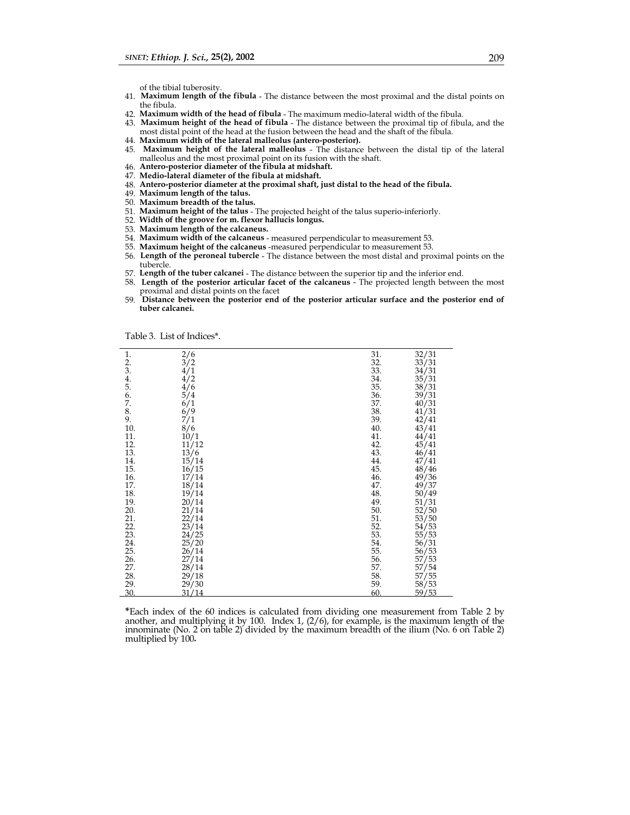of the tibial tuberosity.

- 41. **Maximum length of the fibula**  The distance between the most proximal and the distal points on the fibula.
- 42. **Maximum width of the head of fibula**  The maximum medio-lateral width of the fibula.
- 43. **Maximum height of the head of fibula** The distance between the proximal tip of fibula, and the most distal point of the head at the fusion between the head and the shaft of the fibula.
- 44. **Maximum width of the lateral malleolus (antero-posterior).**
- 45. **Maximum height of the lateral malleolus**  The distance between the distal tip of the lateral malleolus and the most proximal point on its fusion with the shaft.
- 46. **Antero-posterior diameter of the fibula at midshaft.**
- 47. **Medio-lateral diameter of the fibula at midshaft.**
- 48. **Antero-posterior diameter at the proximal shaft, just distal to the head of the fibula.**
- 49. **Maximum length of the talus.**
- 50. **Maximum breadth of the talus.**
- 51. **Maximum height of the talus**  The projected height of the talus superio-inferiorly.
- 52. **Width of the groove for m. flexor hallucis longus.**
- 53. **Maximum length of the calcaneus.**
- 54. **Maximum width of the calcaneus**  measured perpendicular to measurement 53.
- 55. **Maximum height of the calcaneus** -measured perpendicular to measurement 53.
- 56. **Length of the peroneal tubercle**  The distance between the most distal and proximal points on the tubercle.
- 57. **Length of the tuber calcanei**  The distance between the superior tip and the inferior end.
- 58. Length of the posterior articular facet of the calcaneus The projected length between the most proximal and distal points on the facet
- 59. **Distance between the posterior end of the posterior articular surface and the posterior end of tuber calcanei.**

| 1.              | 2/6                      | 31. | 32/31 |
|-----------------|--------------------------|-----|-------|
| 2.              | 3/2                      | 32. | 33/31 |
| 3.              | 4/1                      | 33. | 34/31 |
|                 |                          | 34. | 35/31 |
| $\frac{4}{5}$ . |                          | 35. | 38/31 |
|                 | $\frac{4/2}{4/6}$<br>5/4 | 36. | 39/31 |
| $\frac{6}{7}$   | $\frac{6}{1}$<br>6/9     | 37. | 40/31 |
| 8.              |                          | 38. | 41/31 |
| 9.              | 7/1                      | 39. | 42/41 |
| 10.             | 8/6                      | 40. | 43/41 |
| 11.             | 10/1                     | 41. | 44/41 |
| 12.             | 11/12                    | 42. | 45/41 |
| 13.             | 13/6                     | 43. | 46/41 |
| 14.             | 15/14                    | 44. | 47/41 |
| 15.             | 16/15                    | 45. | 48/46 |
| 16.             | 17/14                    | 46. | 49/36 |
| 17.             | 18/14                    | 47. | 49/37 |
| 18.             | 19/14                    | 48. | 50/49 |
| 19.             | 20/14                    | 49. | 51/31 |
| 20.             | 21/14                    | 50. | 52/50 |
| 21.             | 22/14                    | 51. | 53/50 |
| 22.             | 23/14                    | 52. | 54/53 |
| 23.             | 24/25                    | 53. | 55/53 |
| 24.             | 25/20                    | 54. | 56/31 |
| 25.             | 26/14                    | 55. | 56/53 |
| 26.             | 27/14                    | 56. | 57/53 |
| 27.             | 28/14                    | 57. | 57/54 |
| 28.             | 29/18                    | 58. | 57/55 |
| 29.             | 29/30                    | 59. | 58/53 |
| 30.             | 31/14                    | 60. | 59/53 |

Table 3. List of Indices\*.

\*Each index of the 60 indices is calculated from dividing one measurement from Table 2 by another, and multiplying it by 100. Index  $1$ ,  $\left(2/6\right)$ , for example, is the maximum length of the innominate (No. 2 on table 2) multiplied by 100**.**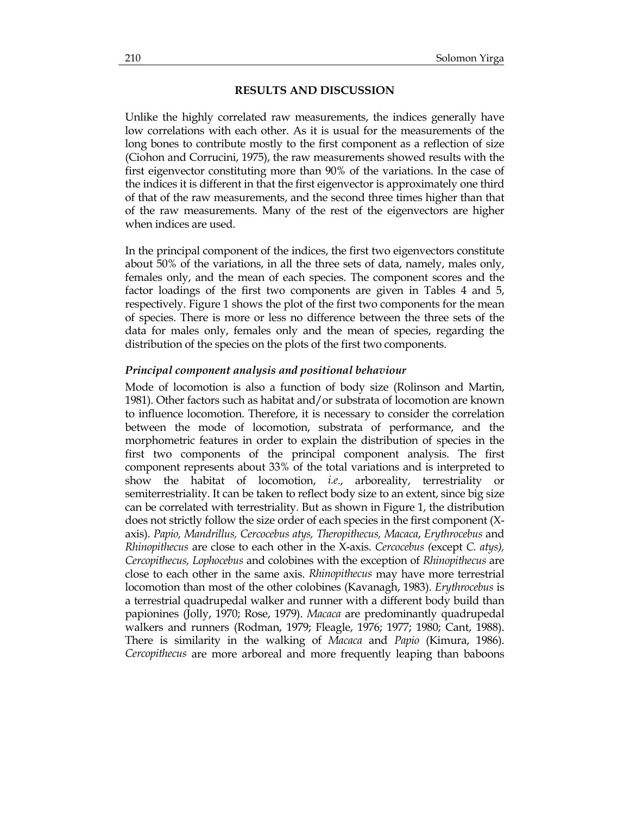## **RESULTS AND DISCUSSION**

Unlike the highly correlated raw measurements, the indices generally have low correlations with each other. As it is usual for the measurements of the long bones to contribute mostly to the first component as a reflection of size (Ciohon and Corrucini, 1975), the raw measurements showed results with the first eigenvector constituting more than 90% of the variations. In the case of the indices it is different in that the first eigenvector is approximately one third of that of the raw measurements, and the second three times higher than that of the raw measurements. Many of the rest of the eigenvectors are higher when indices are used.

In the principal component of the indices, the first two eigenvectors constitute about 50% of the variations, in all the three sets of data, namely, males only, females only, and the mean of each species. The component scores and the factor loadings of the first two components are given in Tables 4 and 5, respectively. Figure 1 shows the plot of the first two components for the mean of species. There is more or less no difference between the three sets of the data for males only, females only and the mean of species, regarding the distribution of the species on the plots of the first two components.

#### *Principal component analysis and positional behaviour*

Mode of locomotion is also a function of body size (Rolinson and Martin, 1981). Other factors such as habitat and/or substrata of locomotion are known to influence locomotion. Therefore, it is necessary to consider the correlation between the mode of locomotion, substrata of performance, and the morphometric features in order to explain the distribution of species in the first two components of the principal component analysis. The first component represents about 33% of the total variations and is interpreted to show the habitat of locomotion, *i.e*., arboreality, terrestriality or semiterrestriality. It can be taken to reflect body size to an extent, since big size can be correlated with terrestriality. But as shown in Figure 1, the distribution does not strictly follow the size order of each species in the first component (Xaxis). *Papio, Mandrillus, Cercocebus atys, Theropithecus, Macaca*, *Erythrocebus* and *Rhinopithecus* are close to each other in the X-axis. *Cercocebus (*except *C. atys), Cercopithecus, Lophocebus* and colobines with the exception of *Rhinopithecus* are close to each other in the same axis. *Rhinopithecus* may have more terrestrial locomotion than most of the other colobines (Kavanagh, 1983). *Erythrocebus* is a terrestrial quadrupedal walker and runner with a different body build than papionines (Jolly, 1970; Rose, 1979). *Macaca* are predominantly quadrupedal walkers and runners (Rodman, 1979; Fleagle, 1976; 1977; 1980; Cant, 1988). There is similarity in the walking of *Macaca* and *Papio* (Kimura, 1986). *Cercopithecus* are more arboreal and more frequently leaping than baboons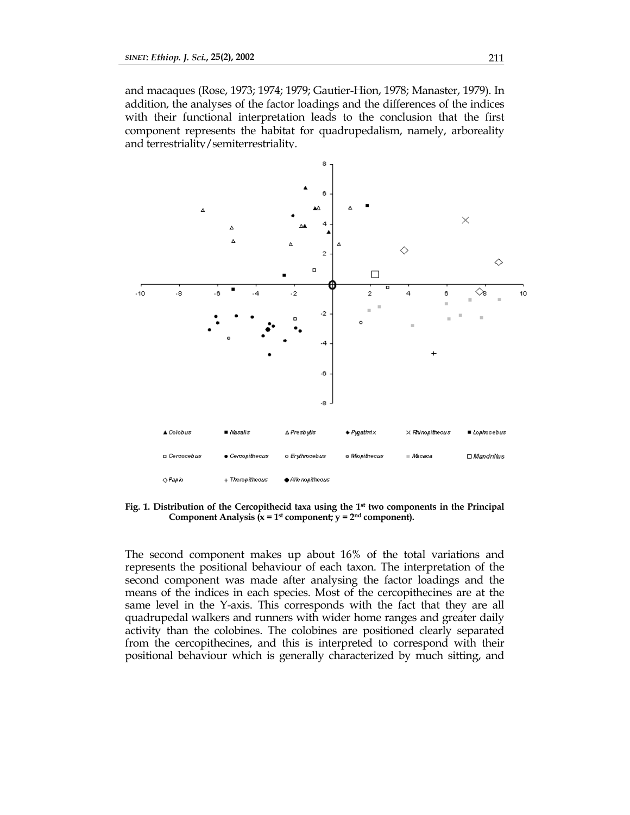and macaques (Rose, 1973; 1974; 1979; Gautier-Hion, 1978; Manaster, 1979). In addition, the analyses of the factor loadings and the differences of the indices with their functional interpretation leads to the conclusion that the first component represents the habitat for quadrupedalism, namely, arboreality and terrestriality/semiterrestriality.



**Fig. 1. Distribution of the Cercopithecid taxa using the 1st two components in the Principal**  Component Analysis  $(x = 1<sup>st</sup> component; y = 2<sup>nd</sup> component)$ .

The second component makes up about 16% of the total variations and represents the positional behaviour of each taxon. The interpretation of the second component was made after analysing the factor loadings and the means of the indices in each species. Most of the cercopithecines are at the same level in the Y-axis. This corresponds with the fact that they are all quadrupedal walkers and runners with wider home ranges and greater daily activity than the colobines. The colobines are positioned clearly separated from the cercopithecines, and this is interpreted to correspond with their positional behaviour which is generally characterized by much sitting, and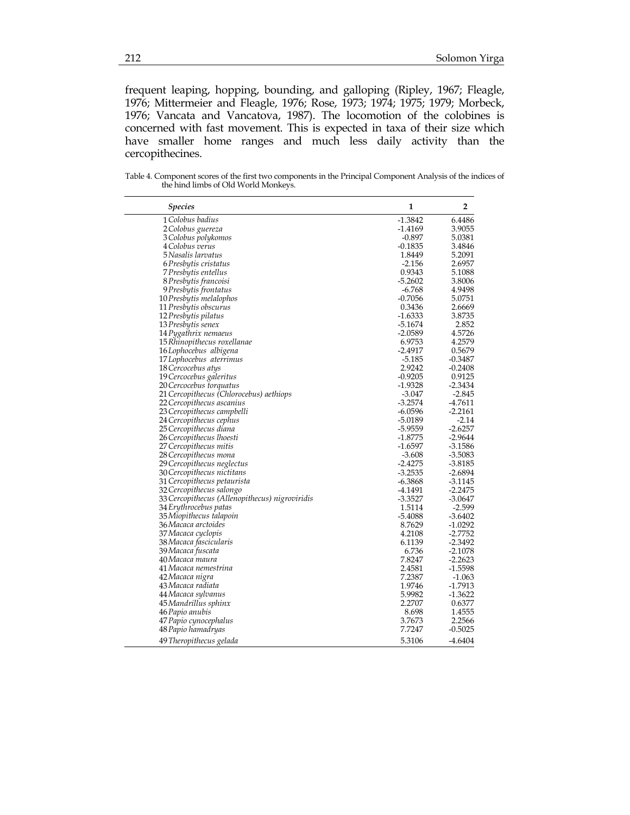frequent leaping, hopping, bounding, and galloping (Ripley, 1967; Fleagle, 1976; Mittermeier and Fleagle, 1976; Rose, 1973; 1974; 1975; 1979; Morbeck, 1976; Vancata and Vancatova, 1987). The locomotion of the colobines is concerned with fast movement. This is expected in taxa of their size which have smaller home ranges and much less daily activity than the cercopithecines.

| <b>Species</b>                                 | 1         | $\overline{\mathbf{2}}$ |
|------------------------------------------------|-----------|-------------------------|
| 1 Colobus badius                               | $-1.3842$ | 6.4486                  |
| 2 Colobus guereza                              | -1.4169   | 3.9055                  |
| 3 Colobus polykomos                            | -0.897    | 5.0381                  |
| 4 Colobus verus                                | -0.1835   | 3.4846                  |
| 5 Nasalis larvatus                             | 1.8449    | 5.2091                  |
| 6 Presbytis cristatus                          | $-2.156$  | 2.6957                  |
| 7 Presbytis entellus                           | 0.9343    | 5.1088                  |
| 8 Presbytis francoisi                          | -5.2602   | 3.8006                  |
| 9 Presbytis frontatus                          | -6.768    | 4.9498                  |
| 10 Presbytis melalophos                        | $-0.7056$ | 5.0751                  |
| 11 Presbytis obscurus                          | 0.3436    | 2.6669                  |
| 12 Presbytis pilatus                           | $-1.6333$ | 3.8735                  |
| 13 Presbytis senex                             | -5.1674   | 2.852                   |
| 14 Pygathrix nemaeus                           | $-2.0589$ | 4.5726                  |
| 15 Rhinopithecus roxellanae                    | 6.9753    | 4.2579                  |
| 16 Lophocebus albigena                         | -2.4917   | 0.5679                  |
| 17 Lophocebus aterrimus                        | $-5.185$  | $-0.3487$               |
| 18 Cercocebus atys                             | 2.9242    | $-0.2408$               |
| 19 Cercocebus galeritus                        | $-0.9205$ | 0.9125                  |
| 20 Cercocebus torquatus                        | -1.9328   | $-2.3434$               |
| 21 Cercopithecus (Chlorocebus) aethiops        | $-3.047$  | $-2.845$                |
| 22 Cercopithecus ascanius                      | $-3.2574$ | $-4.7611$               |
| 23 Cercopithecus campbelli                     | -6.0596   | $-2.2161$               |
| 24 Cercopithecus cephus                        | $-5.0189$ | $-2.14$                 |
| 25 Cercopithecus diana                         | -5.9559   | $-2.6257$               |
| 26 Cercopithecus lhoesti                       | -1.8775   | $-2.9644$               |
| 27 Cercopithecus mitis                         | -1.6597   | $-3.1586$               |
| 28 Cercopithecus mona                          | $-3.608$  | $-3.5083$               |
| 29 Cercopithecus neglectus                     | -2.4275   | -3.8185                 |
| 30 Cercopithecus nictitans                     | $-3.2535$ | -2.6894                 |
| 31 Cercopithecus petaurista                    | -6.3868   | -3.1145                 |
| 32 Cercopithecus salongo                       | -4.1491   | $-2.2475$               |
| 33 Cercopithecus (Allenopithecus) nigroviridis | $-3.3527$ | $-3.0647$               |
| 34 Erythrocebus patas                          | 1.5114    | $-2.599$                |
| 35 Miopithecus talapoin                        | -5.4088   | $-3.6402$               |
| 36 Macaca arctoides                            | 8.7629    | $-1.0292$               |
| 37 Macaca cyclopis                             | 4.2108    | $-2.7752$               |
| 38 Macaca fascicularis                         | 6.1139    | $-2.3492$               |
| 39 Macaca fuscata                              | 6.736     | $-2.1078$               |
| 40 Macaca maura                                | 7.8247    | $-2.2623$               |
| 41 Macaca nemestrina                           | 2.4581    | -1.5598                 |
| 42Macaca nigra                                 | 7.2387    | $-1.063$                |
| 43 Macaca radiata                              | 1.9746    | $-1.7913$               |
| 44 Macaca sylvanus                             | 5.9982    | $-1.3622$               |
| 45 Mandrillus sphinx                           | 2.2707    | 0.6377                  |
| 46 Papio anubis                                | 8.698     | 1.4555                  |
| 47 Papio cynocephalus                          | 3.7673    | 2.2566                  |
| 48 Papio hamadryas                             | 7.7247    | $-0.5025$               |
| 49 Theropithecus gelada                        | 5.3106    | $-4.6404$               |
|                                                |           |                         |

Table 4. Component scores of the first two components in the Principal Component Analysis of the indices of the hind limbs of Old World Monkeys.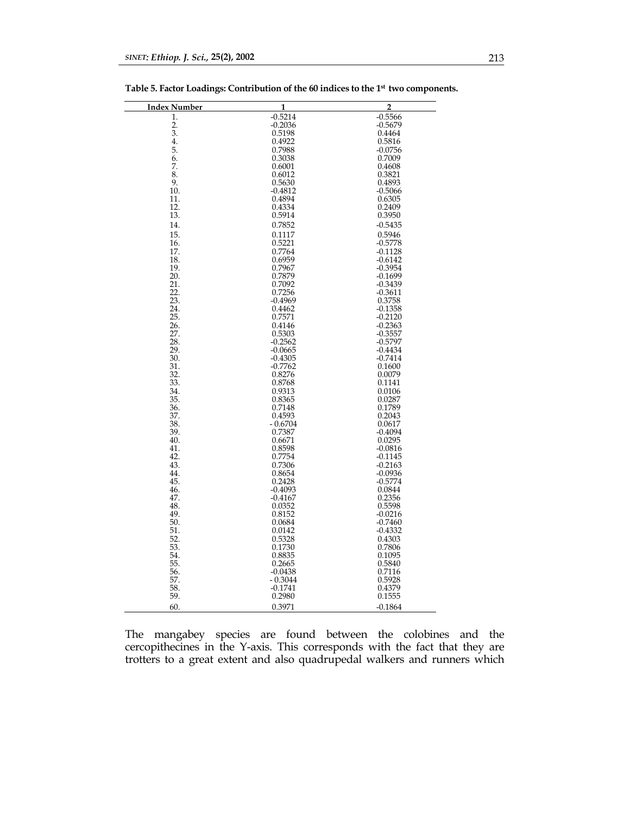$\overline{a}$ 

| <u> Index Number</u> | 1         | $\overline{2}$ |
|----------------------|-----------|----------------|
| 1.                   | $-0.5214$ | $-0.5566$      |
| 2.                   | $-0.2036$ | $-0.5679$      |
| 3.                   | 0.5198    | 0.4464         |
| 4.                   | 0.4922    | 0.5816         |
| 5.                   | 0.7988    | -0.0756        |
| 6.                   | 0.3038    | 0.7009         |
| 7.                   | 0.6001    | 0.4608         |
| 8.                   | 0.6012    | 0.3821         |
| 9.                   | 0.5630    | 0.4893         |
| 10.                  | $-0.4812$ | $-0.5066$      |
| 11.                  | 0.4894    | 0.6305         |
| 12.                  | 0.4334    | 0.2409         |
| 13.                  | 0.5914    | 0.3950         |
| 14.                  | 0.7852    | $-0.5435$      |
| 15.                  | 0.1117    | 0.5946         |
| 16.                  | 0.5221    | $-0.5778$      |
| 17.                  | 0.7764    | $-0.1128$      |
| 18.                  | 0.6959    | $-0.6142$      |
| 19.                  | 0.7967    | $-0.3954$      |
| 20.                  | 0.7879    | $-0.1699$      |
| 21.                  | 0.7092    | $-0.3439$      |
| 22.                  | 0.7256    | $-0.3611$      |
| 23.                  | $-0.4969$ | 0.3758         |
| 24.                  | 0.4462    | $-0.1358$      |
| 25.                  | 0.7571    | $-0.2120$      |
| 26.                  | 0.4146    | $-0.2363$      |
| 27.                  | 0.5303    | $-0.3557$      |
| 28.                  | $-0.2562$ | $-0.5797$      |
| 29.                  | $-0.0665$ | $-0.4434$      |
| 30.                  | $-0.4305$ | $-0.7414$      |
| 31.                  | $-0.7762$ | 0.1600         |
| 32.                  | 0.8276    | 0.0079         |
| 33.                  | 0.8768    | 0.1141         |
| 34.                  | 0.9313    | 0.0106         |
| 35.                  | 0.8365    | 0.0287         |
| 36.                  | 0.7148    | 0.1789         |
| 37.                  | 0.4593    | 0.2043         |
| 38.                  | $-0.6704$ | 0.0617         |
| 39.                  | 0.7387    | -0.4094        |
| 40.                  | 0.6671    | 0.0295         |
| 41.                  | 0.8598    | $-0.0816$      |
| 42.                  | 0.7754    | $-0.1145$      |
| 43.                  | 0.7306    | $-0.2163$      |
| 44.                  | 0.8654    | $-0.0936$      |
| 45.                  | 0.2428    | $-0.5774$      |
| 46.                  | $-0.4093$ | 0.0844         |
| 47.                  | $-0.4167$ | 0.2356         |
| 48.                  | 0.0352    | 0.5598         |
| 49.                  | 0.8152    | $-0.0216$      |
| 50.                  | 0.0684    | $-0.7460$      |
| 51.                  | 0.0142    | $-0.4332$      |
| 52.                  | 0.5328    | 0.4303         |
| 53.                  | 0.1730    | 0.7806         |
| 54.                  | 0.8835    | 0.1095         |
| 55.                  | 0.2665    | 0.5840         |
| 56.                  | $-0.0438$ | 0.7116         |
| 57.                  | - 0.3044  | 0.5928         |
| 58.                  | $-0.1741$ | 0.4379         |
| 59.                  | 0.2980    | 0.1555         |
| 60.                  | 0.3971    | $-0.1864$      |

**Table 5. Factor Loadings: Contribution of the 60 indices to the 1st two components.** 

The mangabey species are found between the colobines and the cercopithecines in the Y-axis. This corresponds with the fact that they are trotters to a great extent and also quadrupedal walkers and runners which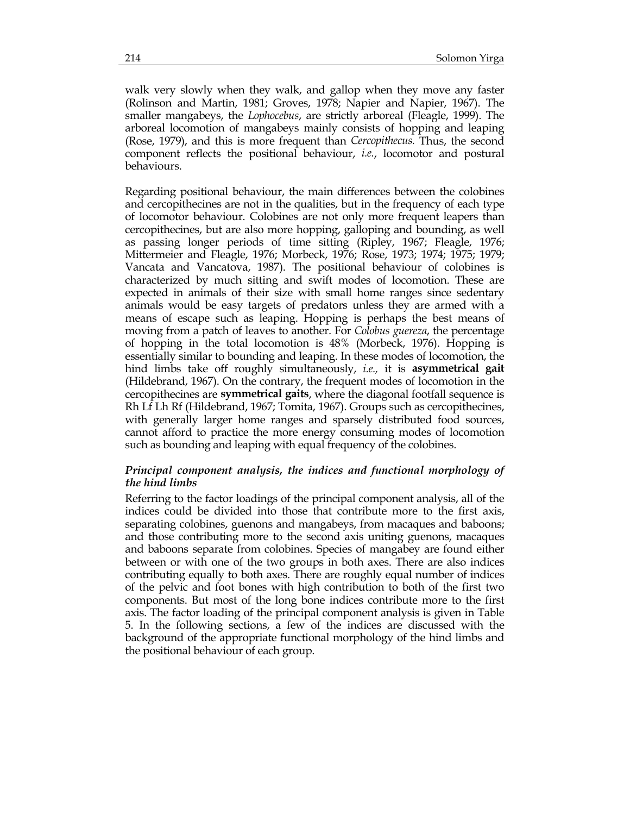walk very slowly when they walk, and gallop when they move any faster (Rolinson and Martin, 1981; Groves, 1978; Napier and Napier, 1967). The smaller mangabeys, the *Lophocebus*, are strictly arboreal (Fleagle, 1999). The arboreal locomotion of mangabeys mainly consists of hopping and leaping (Rose, 1979), and this is more frequent than *Cercopithecus.* Thus, the second component reflects the positional behaviour, *i.e.*, locomotor and postural behaviours.

Regarding positional behaviour, the main differences between the colobines and cercopithecines are not in the qualities, but in the frequency of each type of locomotor behaviour. Colobines are not only more frequent leapers than cercopithecines, but are also more hopping, galloping and bounding, as well as passing longer periods of time sitting (Ripley, 1967; Fleagle, 1976; Mittermeier and Fleagle, 1976; Morbeck, 1976; Rose, 1973; 1974; 1975; 1979; Vancata and Vancatova, 1987). The positional behaviour of colobines is characterized by much sitting and swift modes of locomotion. These are expected in animals of their size with small home ranges since sedentary animals would be easy targets of predators unless they are armed with a means of escape such as leaping. Hopping is perhaps the best means of moving from a patch of leaves to another. For *Colobus guereza*, the percentage of hopping in the total locomotion is 48% (Morbeck, 1976). Hopping is essentially similar to bounding and leaping. In these modes of locomotion, the hind limbs take off roughly simultaneously, *i.e.,* it is **asymmetrical gait** (Hildebrand, 1967). On the contrary, the frequent modes of locomotion in the cercopithecines are **symmetrical gaits**, where the diagonal footfall sequence is Rh Lf Lh Rf (Hildebrand, 1967; Tomita, 1967). Groups such as cercopithecines, with generally larger home ranges and sparsely distributed food sources, cannot afford to practice the more energy consuming modes of locomotion such as bounding and leaping with equal frequency of the colobines.

# *Principal component analysis, the indices and functional morphology of the hind limbs*

Referring to the factor loadings of the principal component analysis, all of the indices could be divided into those that contribute more to the first axis, separating colobines, guenons and mangabeys, from macaques and baboons; and those contributing more to the second axis uniting guenons, macaques and baboons separate from colobines. Species of mangabey are found either between or with one of the two groups in both axes. There are also indices contributing equally to both axes. There are roughly equal number of indices of the pelvic and foot bones with high contribution to both of the first two components. But most of the long bone indices contribute more to the first axis. The factor loading of the principal component analysis is given in Table 5. In the following sections, a few of the indices are discussed with the background of the appropriate functional morphology of the hind limbs and the positional behaviour of each group.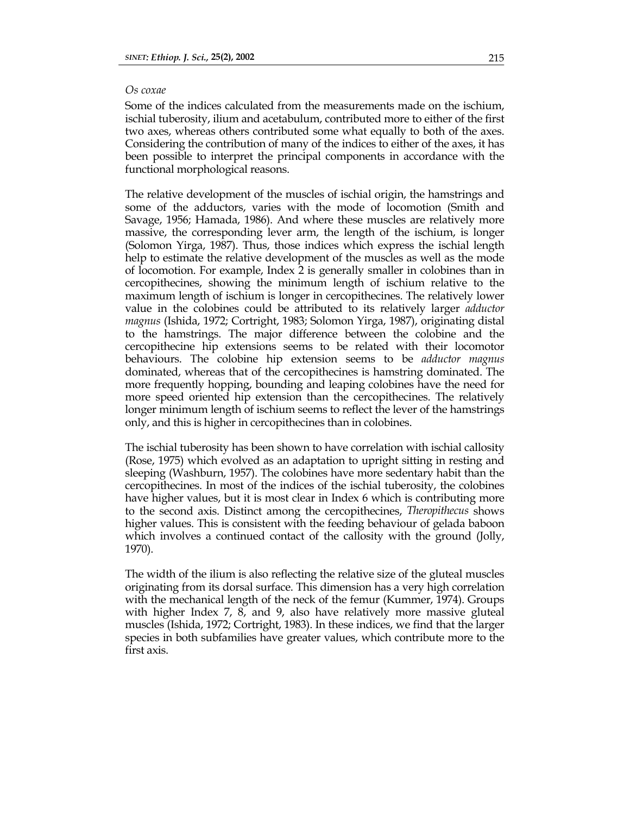#### *Os coxae*

Some of the indices calculated from the measurements made on the ischium, ischial tuberosity, ilium and acetabulum, contributed more to either of the first two axes, whereas others contributed some what equally to both of the axes. Considering the contribution of many of the indices to either of the axes, it has been possible to interpret the principal components in accordance with the functional morphological reasons.

The relative development of the muscles of ischial origin, the hamstrings and some of the adductors, varies with the mode of locomotion (Smith and Savage, 1956; Hamada, 1986). And where these muscles are relatively more massive, the corresponding lever arm, the length of the ischium, is longer (Solomon Yirga, 1987). Thus, those indices which express the ischial length help to estimate the relative development of the muscles as well as the mode of locomotion. For example, Index 2 is generally smaller in colobines than in cercopithecines, showing the minimum length of ischium relative to the maximum length of ischium is longer in cercopithecines. The relatively lower value in the colobines could be attributed to its relatively larger *adductor magnus* (Ishida, 1972; Cortright, 1983; Solomon Yirga, 1987), originating distal to the hamstrings. The major difference between the colobine and the cercopithecine hip extensions seems to be related with their locomotor behaviours. The colobine hip extension seems to be *adductor magnus*  dominated, whereas that of the cercopithecines is hamstring dominated. The more frequently hopping, bounding and leaping colobines have the need for more speed oriented hip extension than the cercopithecines. The relatively longer minimum length of ischium seems to reflect the lever of the hamstrings only, and this is higher in cercopithecines than in colobines.

The ischial tuberosity has been shown to have correlation with ischial callosity (Rose, 1975) which evolved as an adaptation to upright sitting in resting and sleeping (Washburn, 1957). The colobines have more sedentary habit than the cercopithecines. In most of the indices of the ischial tuberosity, the colobines have higher values, but it is most clear in Index 6 which is contributing more to the second axis. Distinct among the cercopithecines, *Theropithecus* shows higher values. This is consistent with the feeding behaviour of gelada baboon which involves a continued contact of the callosity with the ground (Jolly, 1970).

The width of the ilium is also reflecting the relative size of the gluteal muscles originating from its dorsal surface. This dimension has a very high correlation with the mechanical length of the neck of the femur (Kummer, 1974). Groups with higher Index 7, 8, and 9, also have relatively more massive gluteal muscles (Ishida, 1972; Cortright, 1983). In these indices, we find that the larger species in both subfamilies have greater values, which contribute more to the first axis.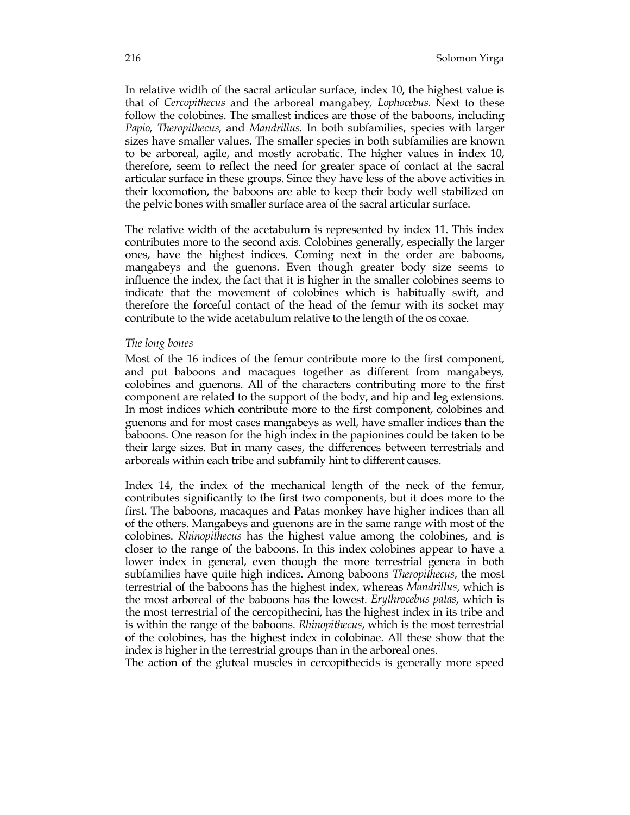In relative width of the sacral articular surface, index 10, the highest value is that of *Cercopithecus* and the arboreal mangabey*, Lophocebus.* Next to these follow the colobines. The smallest indices are those of the baboons, including *Papio, Theropithecus,* and *Mandrillus.* In both subfamilies, species with larger sizes have smaller values. The smaller species in both subfamilies are known to be arboreal, agile, and mostly acrobatic. The higher values in index 10, therefore, seem to reflect the need for greater space of contact at the sacral articular surface in these groups. Since they have less of the above activities in their locomotion, the baboons are able to keep their body well stabilized on the pelvic bones with smaller surface area of the sacral articular surface.

The relative width of the acetabulum is represented by index 11. This index contributes more to the second axis. Colobines generally, especially the larger ones, have the highest indices. Coming next in the order are baboons, mangabeys and the guenons. Even though greater body size seems to influence the index, the fact that it is higher in the smaller colobines seems to indicate that the movement of colobines which is habitually swift, and therefore the forceful contact of the head of the femur with its socket may contribute to the wide acetabulum relative to the length of the os coxae.

#### *The long bones*

Most of the 16 indices of the femur contribute more to the first component, and put baboons and macaques together as different from mangabeys*,* colobines and guenons. All of the characters contributing more to the first component are related to the support of the body, and hip and leg extensions. In most indices which contribute more to the first component, colobines and guenons and for most cases mangabeys as well, have smaller indices than the baboons. One reason for the high index in the papionines could be taken to be their large sizes. But in many cases, the differences between terrestrials and arboreals within each tribe and subfamily hint to different causes.

Index 14, the index of the mechanical length of the neck of the femur, contributes significantly to the first two components, but it does more to the first. The baboons, macaques and Patas monkey have higher indices than all of the others. Mangabeys and guenons are in the same range with most of the colobines. *Rhinopithecus* has the highest value among the colobines, and is closer to the range of the baboons. In this index colobines appear to have a lower index in general, even though the more terrestrial genera in both subfamilies have quite high indices. Among baboons *Theropithecus*, the most terrestrial of the baboons has the highest index, whereas *Mandrillus*, which is the most arboreal of the baboons has the lowest. *Erythrocebus patas*, which is the most terrestrial of the cercopithecini, has the highest index in its tribe and is within the range of the baboons. *Rhinopithecus*, which is the most terrestrial of the colobines, has the highest index in colobinae. All these show that the index is higher in the terrestrial groups than in the arboreal ones.

The action of the gluteal muscles in cercopithecids is generally more speed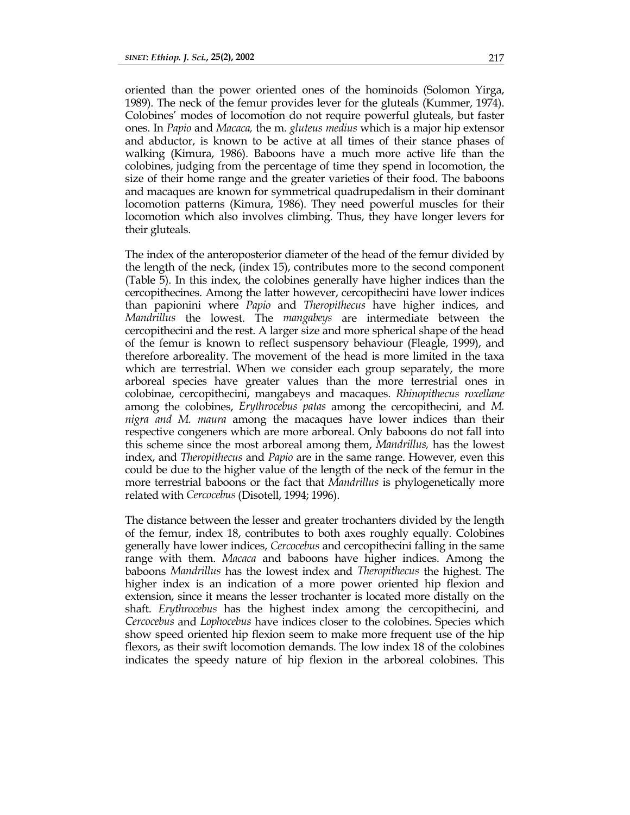oriented than the power oriented ones of the hominoids (Solomon Yirga, 1989). The neck of the femur provides lever for the gluteals (Kummer, 1974). Colobines' modes of locomotion do not require powerful gluteals, but faster ones. In *Papio* and *Macaca,* the m. *gluteus medius* which is a major hip extensor and abductor, is known to be active at all times of their stance phases of walking (Kimura, 1986). Baboons have a much more active life than the colobines, judging from the percentage of time they spend in locomotion, the size of their home range and the greater varieties of their food. The baboons and macaques are known for symmetrical quadrupedalism in their dominant locomotion patterns (Kimura, 1986). They need powerful muscles for their locomotion which also involves climbing. Thus, they have longer levers for their gluteals.

The index of the anteroposterior diameter of the head of the femur divided by the length of the neck, (index 15), contributes more to the second component (Table 5). In this index, the colobines generally have higher indices than the cercopithecines. Among the latter however, cercopithecini have lower indices than papionini where *Papio* and *Theropithecus* have higher indices, and *Mandrillus* the lowest. The *mangabeys* are intermediate between the cercopithecini and the rest. A larger size and more spherical shape of the head of the femur is known to reflect suspensory behaviour (Fleagle, 1999), and therefore arboreality. The movement of the head is more limited in the taxa which are terrestrial. When we consider each group separately, the more arboreal species have greater values than the more terrestrial ones in colobinae, cercopithecini, mangabeys and macaques. *Rhinopithecus roxellane* among the colobines, *Erythrocebus patas* among the cercopithecini, and *M. nigra and M. maura* among the macaques have lower indices than their respective congeners which are more arboreal. Only baboons do not fall into this scheme since the most arboreal among them, *Mandrillus,* has the lowest index, and *Theropithecus* and *Papio* are in the same range. However, even this could be due to the higher value of the length of the neck of the femur in the more terrestrial baboons or the fact that *Mandrillus* is phylogenetically more related with *Cercocebus* (Disotell, 1994; 1996).

The distance between the lesser and greater trochanters divided by the length of the femur, index 18, contributes to both axes roughly equally. Colobines generally have lower indices, *Cercocebus* and cercopithecini falling in the same range with them. *Macaca* and baboons have higher indices. Among the baboons *Mandrillus* has the lowest index and *Theropithecus* the highest. The higher index is an indication of a more power oriented hip flexion and extension, since it means the lesser trochanter is located more distally on the shaft. *Erythrocebus* has the highest index among the cercopithecini, and *Cercocebus* and *Lophocebus* have indices closer to the colobines. Species which show speed oriented hip flexion seem to make more frequent use of the hip flexors, as their swift locomotion demands. The low index 18 of the colobines indicates the speedy nature of hip flexion in the arboreal colobines. This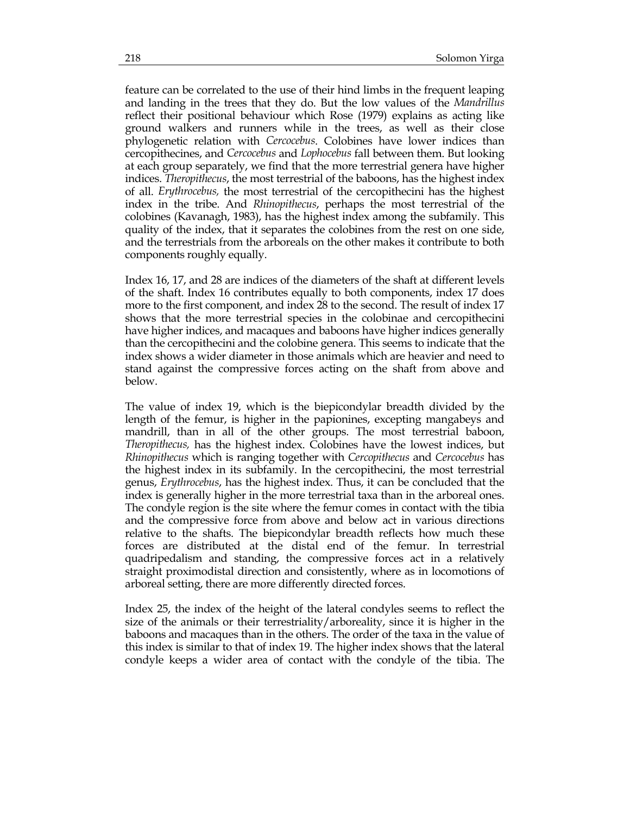feature can be correlated to the use of their hind limbs in the frequent leaping and landing in the trees that they do. But the low values of the *Mandrillus* reflect their positional behaviour which Rose (1979) explains as acting like ground walkers and runners while in the trees, as well as their close phylogenetic relation with *Cercocebus*. Colobines have lower indices than cercopithecines, and *Cercocebus* and *Lophocebus* fall between them. But looking at each group separately, we find that the more terrestrial genera have higher indices. *Theropithecus*, the most terrestrial of the baboons, has the highest index of all. *Erythrocebus,* the most terrestrial of the cercopithecini has the highest index in the tribe. And *Rhinopithecus*, perhaps the most terrestrial of the colobines (Kavanagh, 1983), has the highest index among the subfamily. This quality of the index, that it separates the colobines from the rest on one side, and the terrestrials from the arboreals on the other makes it contribute to both components roughly equally.

Index 16, 17, and 28 are indices of the diameters of the shaft at different levels of the shaft. Index 16 contributes equally to both components, index 17 does more to the first component, and index 28 to the second. The result of index 17 shows that the more terrestrial species in the colobinae and cercopithecini have higher indices, and macaques and baboons have higher indices generally than the cercopithecini and the colobine genera. This seems to indicate that the index shows a wider diameter in those animals which are heavier and need to stand against the compressive forces acting on the shaft from above and below.

The value of index 19, which is the biepicondylar breadth divided by the length of the femur, is higher in the papionines, excepting mangabeys and mandrill, than in all of the other groups. The most terrestrial baboon, *Theropithecus,* has the highest index. Colobines have the lowest indices, but *Rhinopithecus* which is ranging together with *Cercopithecus* and *Cercocebus* has the highest index in its subfamily. In the cercopithecini, the most terrestrial genus, *Erythrocebus*, has the highest index. Thus, it can be concluded that the index is generally higher in the more terrestrial taxa than in the arboreal ones. The condyle region is the site where the femur comes in contact with the tibia and the compressive force from above and below act in various directions relative to the shafts. The biepicondylar breadth reflects how much these forces are distributed at the distal end of the femur. In terrestrial quadripedalism and standing, the compressive forces act in a relatively straight proximodistal direction and consistently, where as in locomotions of arboreal setting, there are more differently directed forces.

Index 25, the index of the height of the lateral condyles seems to reflect the size of the animals or their terrestriality/arboreality, since it is higher in the baboons and macaques than in the others. The order of the taxa in the value of this index is similar to that of index 19. The higher index shows that the lateral condyle keeps a wider area of contact with the condyle of the tibia. The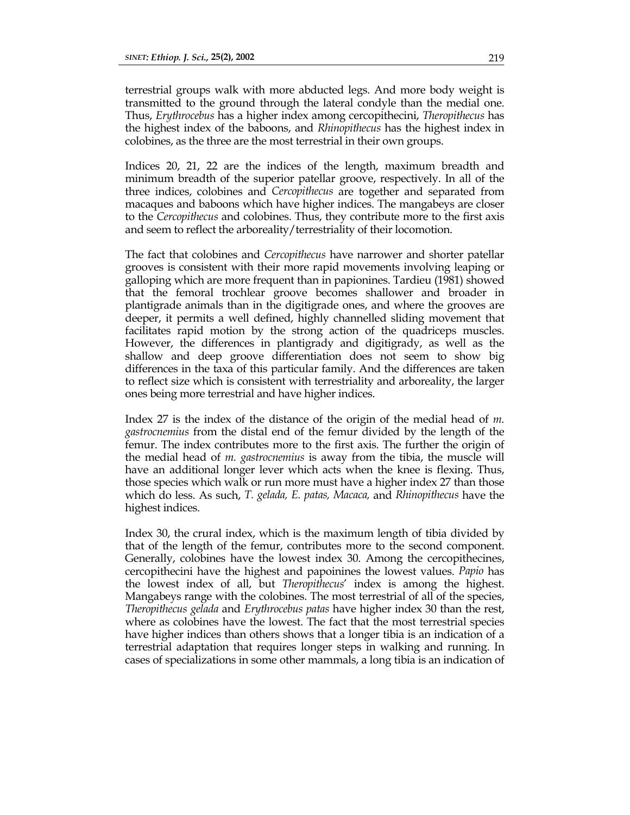terrestrial groups walk with more abducted legs. And more body weight is transmitted to the ground through the lateral condyle than the medial one. Thus, *Erythrocebus* has a higher index among cercopithecini, *Theropithecus* has the highest index of the baboons, and *Rhinopithecus* has the highest index in colobines, as the three are the most terrestrial in their own groups.

Indices 20, 21, 22 are the indices of the length, maximum breadth and minimum breadth of the superior patellar groove, respectively. In all of the three indices, colobines and *Cercopithecus* are together and separated from macaques and baboons which have higher indices. The mangabeys are closer to the *Cercopithecus* and colobines. Thus, they contribute more to the first axis and seem to reflect the arboreality/terrestriality of their locomotion.

The fact that colobines and *Cercopithecus* have narrower and shorter patellar grooves is consistent with their more rapid movements involving leaping or galloping which are more frequent than in papionines. Tardieu (1981) showed that the femoral trochlear groove becomes shallower and broader in plantigrade animals than in the digitigrade ones, and where the grooves are deeper, it permits a well defined, highly channelled sliding movement that facilitates rapid motion by the strong action of the quadriceps muscles. However, the differences in plantigrady and digitigrady, as well as the shallow and deep groove differentiation does not seem to show big differences in the taxa of this particular family. And the differences are taken to reflect size which is consistent with terrestriality and arboreality, the larger ones being more terrestrial and have higher indices.

Index 27 is the index of the distance of the origin of the medial head of *m. gastrocnemius* from the distal end of the femur divided by the length of the femur. The index contributes more to the first axis. The further the origin of the medial head of *m. gastrocnemius* is away from the tibia, the muscle will have an additional longer lever which acts when the knee is flexing. Thus, those species which walk or run more must have a higher index 27 than those which do less. As such, *T. gelada, E. patas, Macaca,* and *Rhinopithecus* have the highest indices.

Index 30, the crural index, which is the maximum length of tibia divided by that of the length of the femur, contributes more to the second component. Generally, colobines have the lowest index 30. Among the cercopithecines, cercopithecini have the highest and papoinines the lowest values. *Papio* has the lowest index of all, but *Theropithecus*' index is among the highest. Mangabeys range with the colobines. The most terrestrial of all of the species, *Theropithecus gelada* and *Erythrocebus patas* have higher index 30 than the rest, where as colobines have the lowest. The fact that the most terrestrial species have higher indices than others shows that a longer tibia is an indication of a terrestrial adaptation that requires longer steps in walking and running. In cases of specializations in some other mammals, a long tibia is an indication of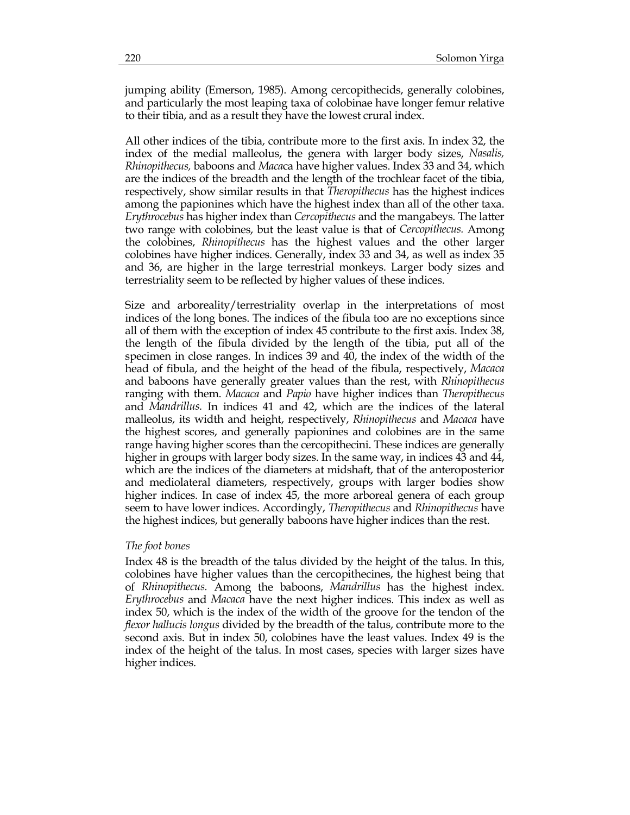jumping ability (Emerson, 1985). Among cercopithecids, generally colobines, and particularly the most leaping taxa of colobinae have longer femur relative to their tibia, and as a result they have the lowest crural index.

All other indices of the tibia, contribute more to the first axis. In index 32, the index of the medial malleolus, the genera with larger body sizes, *Nasalis, Rhinopithecus,* baboons and *Maca*ca have higher values. Index 33 and 34, which are the indices of the breadth and the length of the trochlear facet of the tibia, respectively, show similar results in that *Theropithecus* has the highest indices among the papionines which have the highest index than all of the other taxa. *Erythrocebus* has higher index than *Cercopithecus* and the mangabeys*.* The latter two range with colobines, but the least value is that of *Cercopithecus.* Among the colobines, *Rhinopithecus* has the highest values and the other larger colobines have higher indices. Generally, index 33 and 34, as well as index 35 and 36, are higher in the large terrestrial monkeys. Larger body sizes and terrestriality seem to be reflected by higher values of these indices.

Size and arboreality/terrestriality overlap in the interpretations of most indices of the long bones. The indices of the fibula too are no exceptions since all of them with the exception of index 45 contribute to the first axis. Index 38, the length of the fibula divided by the length of the tibia, put all of the specimen in close ranges. In indices 39 and 40, the index of the width of the head of fibula, and the height of the head of the fibula, respectively, *Macaca* and baboons have generally greater values than the rest, with *Rhinopithecus* ranging with them. *Macaca* and *Papio* have higher indices than *Theropithecus* and *Mandrillus.* In indices 41 and 42, which are the indices of the lateral malleolus, its width and height, respectively, *Rhinopithecus* and *Macaca* have the highest scores, and generally papionines and colobines are in the same range having higher scores than the cercopithecini. These indices are generally higher in groups with larger body sizes. In the same way, in indices 43 and 44, which are the indices of the diameters at midshaft, that of the anteroposterior and mediolateral diameters, respectively, groups with larger bodies show higher indices. In case of index 45, the more arboreal genera of each group seem to have lower indices. Accordingly, *Theropithecus* and *Rhinopithecus* have the highest indices, but generally baboons have higher indices than the rest.

#### *The foot bones*

Index 48 is the breadth of the talus divided by the height of the talus. In this, colobines have higher values than the cercopithecines, the highest being that of *Rhinopithecus.* Among the baboons, *Mandrillus* has the highest index. *Erythrocebus* and *Macaca* have the next higher indices. This index as well as index 50, which is the index of the width of the groove for the tendon of the *flexor hallucis longus* divided by the breadth of the talus, contribute more to the second axis. But in index 50, colobines have the least values. Index 49 is the index of the height of the talus. In most cases, species with larger sizes have higher indices.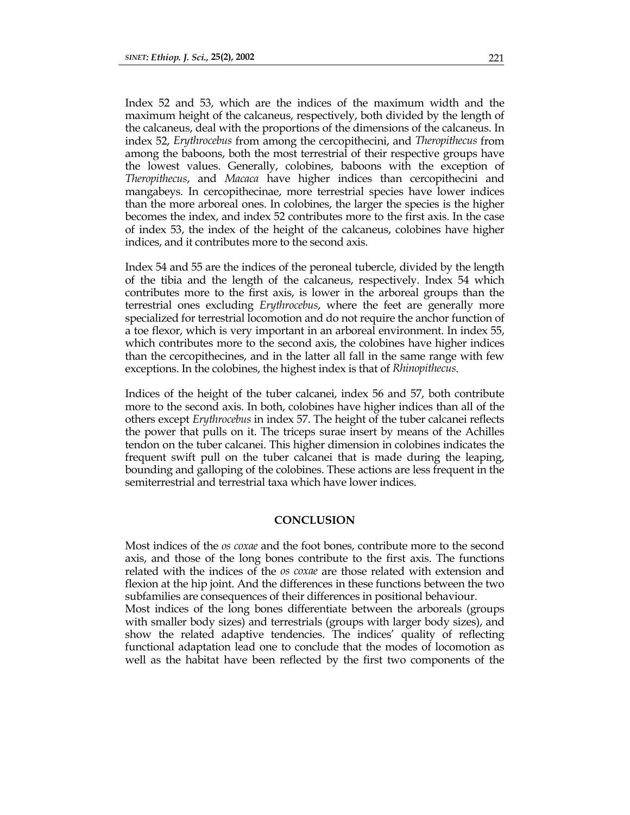Index 52 and 53, which are the indices of the maximum width and the maximum height of the calcaneus, respectively, both divided by the length of the calcaneus, deal with the proportions of the dimensions of the calcaneus. In index 52, *Erythrocebus* from among the cercopithecini, and *Theropithecus* from among the baboons, both the most terrestrial of their respective groups have the lowest values. Generally, colobines, baboons with the exception of *Theropithecus*, and *Macaca* have higher indices than cercopithecini and mangabeys. In cercopithecinae, more terrestrial species have lower indices than the more arboreal ones. In colobines, the larger the species is the higher becomes the index, and index 52 contributes more to the first axis. In the case of index 53, the index of the height of the calcaneus, colobines have higher indices, and it contributes more to the second axis.

Index 54 and 55 are the indices of the peroneal tubercle, divided by the length of the tibia and the length of the calcaneus, respectively. Index 54 which contributes more to the first axis, is lower in the arboreal groups than the terrestrial ones excluding *Erythrocebus*, where the feet are generally more specialized for terrestrial locomotion and do not require the anchor function of a toe flexor, which is very important in an arboreal environment. In index 55, which contributes more to the second axis, the colobines have higher indices than the cercopithecines, and in the latter all fall in the same range with few exceptions. In the colobines, the highest index is that of *Rhinopithecus*.

Indices of the height of the tuber calcanei, index 56 and 57, both contribute more to the second axis. In both, colobines have higher indices than all of the others except *Erythrocebus* in index 57. The height of the tuber calcanei reflects the power that pulls on it. The triceps surae insert by means of the Achilles tendon on the tuber calcanei. This higher dimension in colobines indicates the frequent swift pull on the tuber calcanei that is made during the leaping, bounding and galloping of the colobines. These actions are less frequent in the semiterrestrial and terrestrial taxa which have lower indices.

## **CONCLUSION**

Most indices of the *os coxae* and the foot bones, contribute more to the second axis, and those of the long bones contribute to the first axis. The functions related with the indices of the *os coxae* are those related with extension and flexion at the hip joint. And the differences in these functions between the two subfamilies are consequences of their differences in positional behaviour.

Most indices of the long bones differentiate between the arboreals (groups with smaller body sizes) and terrestrials (groups with larger body sizes), and show the related adaptive tendencies. The indices' quality of reflecting functional adaptation lead one to conclude that the modes of locomotion as well as the habitat have been reflected by the first two components of the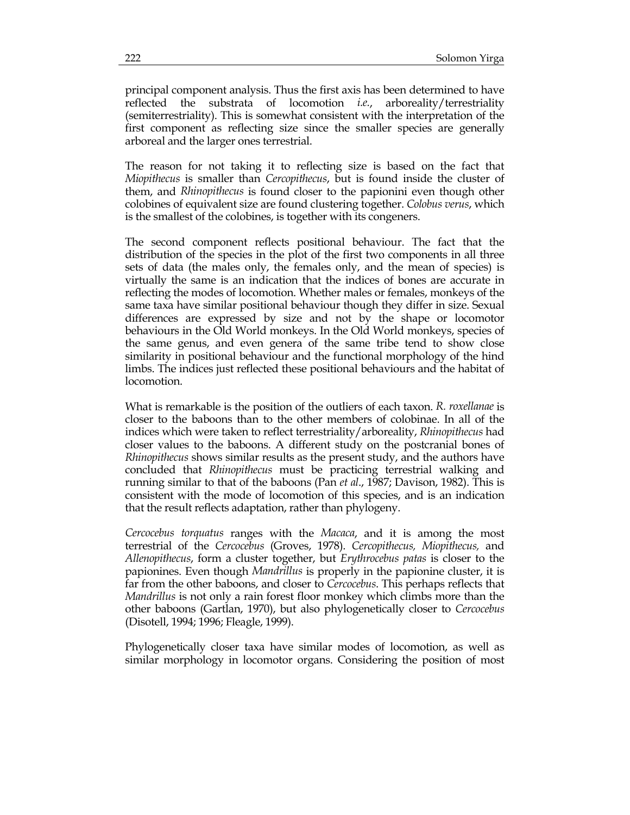principal component analysis. Thus the first axis has been determined to have reflected the substrata of locomotion *i.e.*, arboreality/terrestriality (semiterrestriality). This is somewhat consistent with the interpretation of the first component as reflecting size since the smaller species are generally arboreal and the larger ones terrestrial.

The reason for not taking it to reflecting size is based on the fact that *Miopithecus* is smaller than *Cercopithecus*, but is found inside the cluster of them, and *Rhinopithecus* is found closer to the papionini even though other colobines of equivalent size are found clustering together. *Colobus verus*, which is the smallest of the colobines, is together with its congeners.

The second component reflects positional behaviour. The fact that the distribution of the species in the plot of the first two components in all three sets of data (the males only, the females only, and the mean of species) is virtually the same is an indication that the indices of bones are accurate in reflecting the modes of locomotion. Whether males or females, monkeys of the same taxa have similar positional behaviour though they differ in size. Sexual differences are expressed by size and not by the shape or locomotor behaviours in the Old World monkeys. In the Old World monkeys, species of the same genus, and even genera of the same tribe tend to show close similarity in positional behaviour and the functional morphology of the hind limbs. The indices just reflected these positional behaviours and the habitat of locomotion.

What is remarkable is the position of the outliers of each taxon. *R. roxellanae* is closer to the baboons than to the other members of colobinae. In all of the indices which were taken to reflect terrestriality/arboreality, *Rhinopithecus* had closer values to the baboons. A different study on the postcranial bones of *Rhinopithecus* shows similar results as the present study, and the authors have concluded that *Rhinopithecus* must be practicing terrestrial walking and running similar to that of the baboons (Pan *et al*., 1987; Davison, 1982). This is consistent with the mode of locomotion of this species, and is an indication that the result reflects adaptation, rather than phylogeny.

*Cercocebus torquatus* ranges with the *Macaca*, and it is among the most terrestrial of the *Cercocebus* (Groves, 1978). *Cercopithecus, Miopithecus,* and *Allenopithecus*, form a cluster together, but *Erythrocebus patas* is closer to the papionines. Even though *Mandrillus* is properly in the papionine cluster, it is far from the other baboons, and closer to *Cercocebus*. This perhaps reflects that *Mandrillus* is not only a rain forest floor monkey which climbs more than the other baboons (Gartlan, 1970), but also phylogenetically closer to *Cercocebus* (Disotell, 1994; 1996; Fleagle, 1999).

Phylogenetically closer taxa have similar modes of locomotion, as well as similar morphology in locomotor organs. Considering the position of most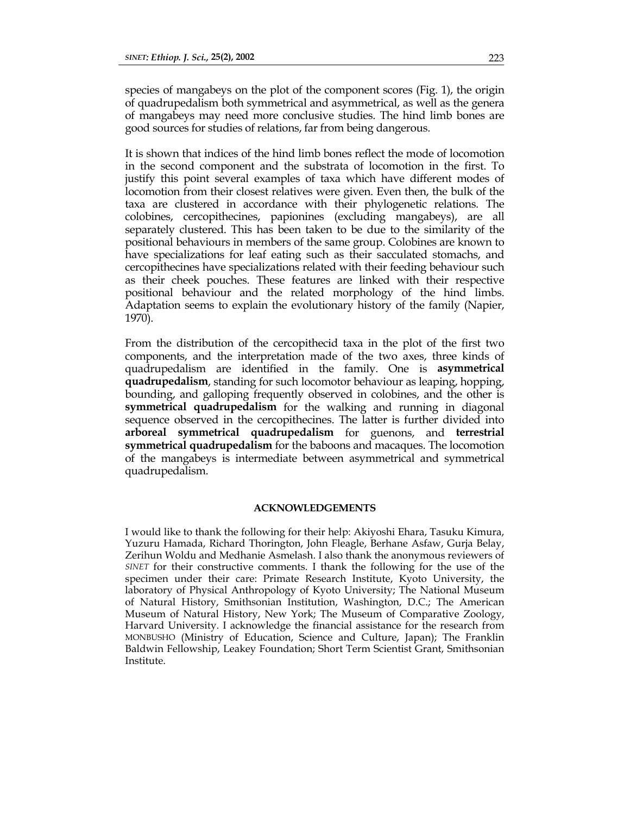species of mangabeys on the plot of the component scores (Fig. 1), the origin of quadrupedalism both symmetrical and asymmetrical, as well as the genera of mangabeys may need more conclusive studies. The hind limb bones are good sources for studies of relations, far from being dangerous.

It is shown that indices of the hind limb bones reflect the mode of locomotion in the second component and the substrata of locomotion in the first. To justify this point several examples of taxa which have different modes of locomotion from their closest relatives were given. Even then, the bulk of the taxa are clustered in accordance with their phylogenetic relations. The colobines, cercopithecines, papionines (excluding mangabeys), are all separately clustered. This has been taken to be due to the similarity of the positional behaviours in members of the same group. Colobines are known to have specializations for leaf eating such as their sacculated stomachs, and cercopithecines have specializations related with their feeding behaviour such as their cheek pouches. These features are linked with their respective positional behaviour and the related morphology of the hind limbs. Adaptation seems to explain the evolutionary history of the family (Napier, 1970).

From the distribution of the cercopithecid taxa in the plot of the first two components, and the interpretation made of the two axes, three kinds of quadrupedalism are identified in the family. One is **asymmetrical quadrupedalism**, standing for such locomotor behaviour as leaping, hopping, bounding, and galloping frequently observed in colobines, and the other is **symmetrical quadrupedalism** for the walking and running in diagonal sequence observed in the cercopithecines. The latter is further divided into **arboreal symmetrical quadrupedalism** for guenons, and **terrestrial symmetrical quadrupedalism** for the baboons and macaques. The locomotion of the mangabeys is intermediate between asymmetrical and symmetrical quadrupedalism.

### **ACKNOWLEDGEMENTS**

I would like to thank the following for their help: Akiyoshi Ehara, Tasuku Kimura, Yuzuru Hamada, Richard Thorington, John Fleagle, Berhane Asfaw, Gurja Belay, Zerihun Woldu and Medhanie Asmelash. I also thank the anonymous reviewers of *SINET* for their constructive comments. I thank the following for the use of the specimen under their care: Primate Research Institute, Kyoto University, the laboratory of Physical Anthropology of Kyoto University; The National Museum of Natural History, Smithsonian Institution, Washington, D.C.; The American Museum of Natural History, New York; The Museum of Comparative Zoology, Harvard University. I acknowledge the financial assistance for the research from MONBUSHO (Ministry of Education, Science and Culture, Japan); The Franklin Baldwin Fellowship, Leakey Foundation; Short Term Scientist Grant, Smithsonian Institute.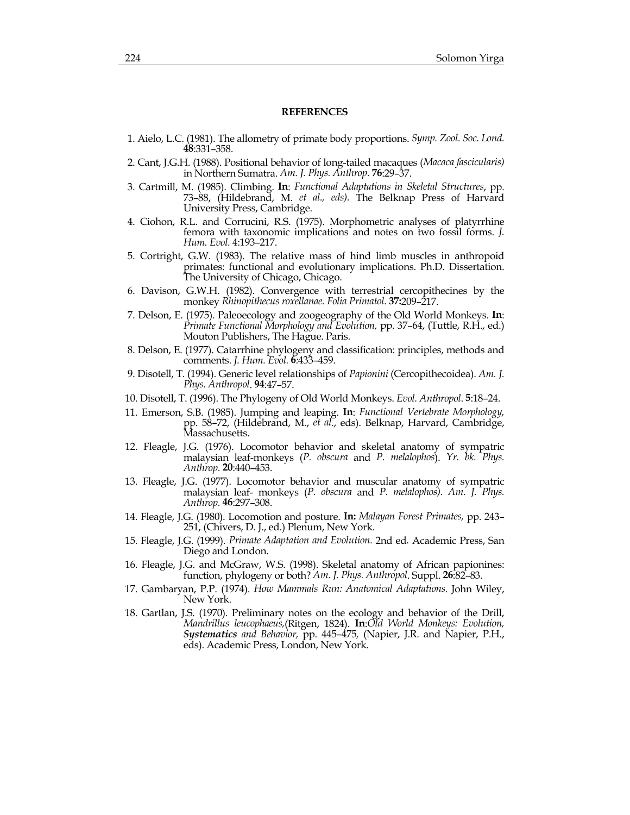#### **REFERENCES**

- 1. Aielo, L.C. (1981). The allometry of primate body proportions. *Symp. Zool. Soc. Lond.*  **48**:331–358.
- 2. Cant, J.G.H. (1988). Positional behavior of long-tailed macaques (*Macaca fascicularis)*  in Northern Sumatra. *Am. J. Phys. Anthrop.* **76**:29–37.
- 3. Cartmill, M. (1985). Climbing. **In**: *Functional Adaptations in Skeletal Structures*, pp. 73–88, (Hildebrand, M. *et al., eds).* The Belknap Press of Harvard University Press, Cambridge.
- 4. Ciohon, R.L. and Corrucini, R.S. (1975). Morphometric analyses of platyrrhine femora with taxonomic implications and notes on two fossil forms. *J. Hum. Evol.* 4:193–217.
- 5. Cortright, G.W. (1983). The relative mass of hind limb muscles in anthropoid primates: functional and evolutionary implications. Ph.D. Dissertation. The University of Chicago, Chicago.
- 6. Davison, G.W.H. (1982). Convergence with terrestrial cercopithecines by the monkey *Rhinopithecus roxellanae. Folia Primatol.* **37:**209–217.
- 7. Delson, E. (1975). Paleoecology and zoogeography of the Old World Monkeys. **In**: *Primate Functional Morphology and Evolution,* pp. 37–64, (Tuttle, R.H., ed.) Mouton Publishers, The Hague. Paris.
- 8. Delson, E. (1977). Catarrhine phylogeny and classification: principles, methods and comments. *J. Hum. Evol.* **6***:*433–459.
- 9. Disotell, T. (1994). Generic level relationships of *Papionini* (Cercopithecoidea). *Am. J. Phys. Anthropol*. **94**:47–57.
- 10. Disotell, T. (1996). The Phylogeny of Old World Monkeys. *Evol. Anthropol*. **5**:18–24.
- 11. Emerson, S.B. (1985). Jumping and leaping. **In**: *Functional Vertebrate Morphology,*  pp. 58–72, (Hildebrand, M., *et al*., eds). Belknap, Harvard, Cambridge, Massachusetts.
- 12. Fleagle, J.G. (1976). Locomotor behavior and skeletal anatomy of sympatric malaysian leaf-monkeys (*P. obscura* and *P. melalophos*). *Yr. bk. Phys. Anthrop.* **20**:440–453.
- 13. Fleagle, J.G. (1977). Locomotor behavior and muscular anatomy of sympatric malaysian leaf- monkeys (*P. obscura* and *P. melalophos). Am. J. Phys. Anthrop.* **46**:297–308.
- 14. Fleagle, J.G. (1980). Locomotion and posture. **In:** *Malayan Forest Primates,* pp. 243– 251, (Chivers, D. J., ed.) Plenum, New York.
- 15. Fleagle, J.G. (1999). *Primate Adaptation and Evolution.* 2nd ed*.* Academic Press, San Diego and London.
- 16. Fleagle, J.G. and McGraw, W.S. (1998). Skeletal anatomy of African papionines: function, phylogeny or both? *Am. J. Phys. Anthropol*. Suppl. **26**:82–83.
- 17. Gambaryan, P.P. (1974). *How Mammals Run: Anatomical Adaptations*. John Wiley, New York.
- 18. Gartlan, J.S. (1970). Preliminary notes on the ecology and behavior of the Drill, *Mandrillus leucophaeus,*(Ritgen, 1824). **In**:*Old World Monkeys: Evolution, Systematics and Behavior,* pp. 445–475*,* (Napier, J.R. and Napier, P.H., eds). Academic Press, London, New York.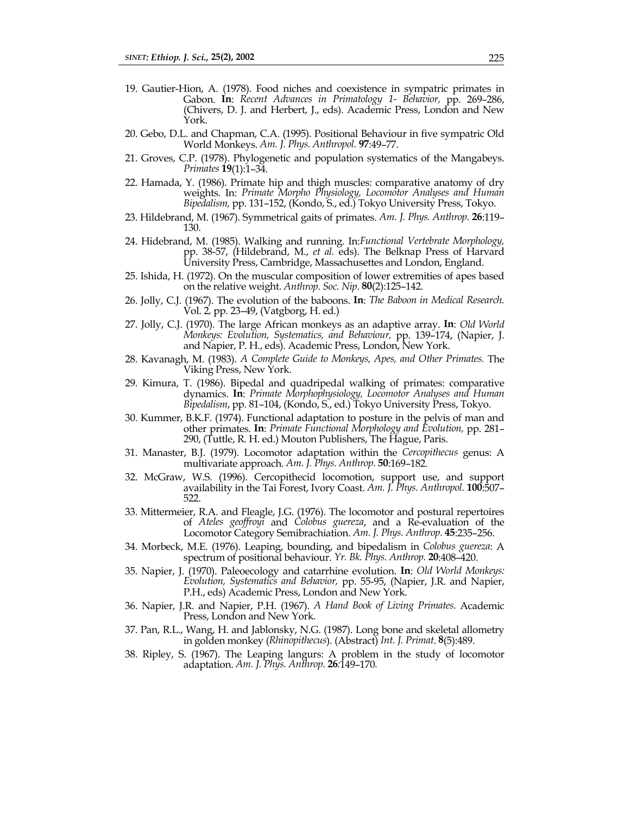- 19. Gautier-Hion, A. (1978). Food niches and coexistence in sympatric primates in Gabon. **In**: *Recent Advances in Primatology 1- Behavior,* pp. 269–286, (Chivers, D. J. and Herbert, J., eds). Academic Press, London and New York.
- 20. Gebo, D.L. and Chapman, C.A. (1995). Positional Behaviour in five sympatric Old World Monkeys. *Am. J. Phys. Anthropol.* **97**:49–77.
- 21. Groves, C.P. (1978). Phylogenetic and population systematics of the Mangabeys. *Primates* **19**(1):1–34.
- 22. Hamada, Y. (1986). Primate hip and thigh muscles: comparative anatomy of dry weights. In: *Primate Morpho Physiology, Locomotor Analyses and Human Bipedalism,* pp. 131–152, (Kondo, S., ed.) Tokyo University Press, Tokyo.
- 23. Hildebrand, M. (1967). Symmetrical gaits of primates. *Am. J. Phys. Anthrop.* **26**:119– 130.
- 24. Hidebrand, M. (1985). Walking and running. In:*Functional Vertebrate Morphology,* pp. 38-57, (Hildebrand, M., *et al.* eds). The Belknap Press of Harvard University Press, Cambridge, Massachusettes and London, England.
- 25. Ishida, H. (1972). On the muscular composition of lower extremities of apes based on the relative weight. *Anthrop. Soc. Nip.* **80**(2):125–142.
- 26. Jolly, C.J. (1967). The evolution of the baboons. **In**: *The Baboon in Medical Research.* Vol. 2*,* pp. 23–49, (Vatgborg, H. ed.)
- 27. Jolly, C.J. (1970). The large African monkeys as an adaptive array. **In**: *Old World Monkeys: Evolution, Systematics, and Behaviour,* pp. 139–174, (Napier, J. and Napier, P. H., eds). Academic Press, London, New York.
- 28. Kavanagh, M. (1983). *A Complete Guide to Monkeys, Apes, and Other Primates.* The Viking Press, New York.
- 29. Kimura, T. (1986). Bipedal and quadripedal walking of primates: comparative dynamics. **In**: *Primate Morphophysiology, Locomotor Analyses and Human Bipedalism*, pp. 81–104, (Kondo, S., ed.) Tokyo University Press, Tokyo.
- 30. Kummer, B.K.F. (1974). Functional adaptation to posture in the pelvis of man and other primates. **In**: *Primate Functional Morphology and Evolution,* pp. 281– 290, (Tuttle, R. H. ed.) Mouton Publishers, The Hague, Paris.
- 31. Manaster, B.J. (1979). Locomotor adaptation within the *Cercopithecus* genus: A multivariate approach. *Am. J. Phys. Anthrop.* **50**:169–182.
- 32. McGraw, W.S. (1996). Cercopithecid locomotion, support use, and support availability in the Tai Forest, Ivory Coast. *Am. J. Phys. Anthropol.* **100**:507– 522.
- 33. Mittermeier, R.A. and Fleagle, J.G. (1976). The locomotor and postural repertoires of *Ateles geoffroyi* and *Colobus guereza*, and a Re-evaluation of the Locomotor Category Semibrachiation. *Am. J. Phys. Anthrop.* **45**:235–256.
- 34. Morbeck, M.E. (1976). Leaping, bounding, and bipedalism in *Colobus guereza*: A spectrum of positional behaviour. *Yr. Bk. Phys. Anthrop.* **20**:408–420.
- 35. Napier, J. (1970). Paleoecology and catarrhine evolution. **In**: *Old World Monkeys: Evolution, Systematics and Behavior,* pp. 55-95, (Napier, J.R. and Napier, P.H., eds) Academic Press, London and New York.
- 36. Napier, J.R. and Napier, P.H. (1967). *A Hand Book of Living Primates.* Academic Press, London and New York.
- 37. Pan, R.L., Wang, H. and Jablonsky, N.G. (1987). Long bone and skeletal allometry in golden monkey (*Rhinopithecus*). (Abstract) *Int. J. Primat*. **8**(5):489.
- 38. Ripley, S. (1967). The Leaping langurs: A problem in the study of locomotor adaptation. *Am. J. Phys. Anthrop.* **26***:*149–170*.*